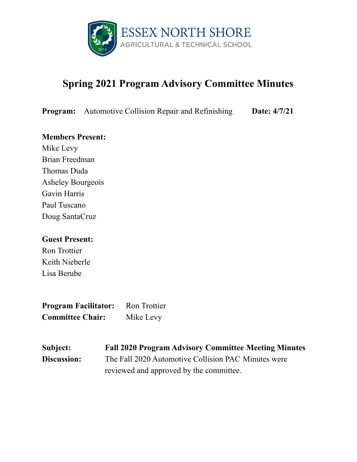

# **Spring 2021 Program Advisory Committee Minutes**

**Program:** Automotive Collision Repair and Refinishing **Date:** 4/7/21

### **Members Present:**

Mike Levy Brian Freedman Thomas Duda Asheley Bourgeois Gavin Harris Paul Tuscano Doug SantaCruz

### **Guest Present:**

Ron Trottier Keith Nieberle Lisa Berube

**Program Facilitator:** Ron Trottier **Committee Chair:** Mike Levy

**Subject: Fall 2020 Program Advisory Committee Meeting Minutes Discussion:** The Fall 2020 Automotive Collision PAC Minutes were reviewed and approved by the committee.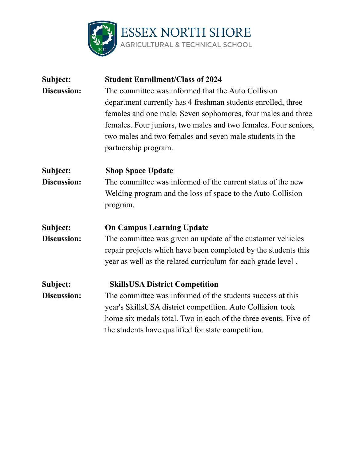

| Subject:           | <b>Student Enrollment/Class of 2024</b>                         |
|--------------------|-----------------------------------------------------------------|
| Discussion:        | The committee was informed that the Auto Collision              |
|                    | department currently has 4 freshman students enrolled, three    |
|                    | females and one male. Seven sophomores, four males and three    |
|                    | females. Four juniors, two males and two females. Four seniors, |
|                    | two males and two females and seven male students in the        |
|                    | partnership program.                                            |
| Subject:           | <b>Shop Space Update</b>                                        |
| <b>Discussion:</b> | The committee was informed of the current status of the new     |
|                    | Welding program and the loss of space to the Auto Collision     |
|                    | program.                                                        |
| Subject:           | <b>On Campus Learning Update</b>                                |
| Discussion:        | The committee was given an update of the customer vehicles      |
|                    | repair projects which have been completed by the students this  |
|                    | year as well as the related curriculum for each grade level.    |
| Subject:           | <b>SkillsUSA District Competition</b>                           |
| Discussion:        | The committee was informed of the students success at this      |
|                    | year's SkillsUSA district competition. Auto Collision took      |
|                    | home six medals total. Two in each of the three events. Five of |
|                    | the students have qualified for state competition.              |
|                    |                                                                 |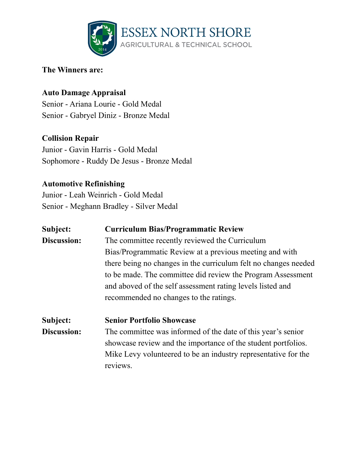

## **The Winners are:**

# **Auto Damage Appraisal**

Senior - Ariana Lourie - Gold Medal Senior - Gabryel Diniz - Bronze Medal

# **Collision Repair**

Junior - Gavin Harris - Gold Medal Sophomore - Ruddy De Jesus - Bronze Medal

# **Automotive Refinishing**

Junior - Leah Weinrich - Gold Medal Senior - Meghann Bradley - Silver Medal

| Subject:<br>Discussion: | <b>Curriculum Bias/Programmatic Review</b><br>The committee recently reviewed the Curriculum<br>Bias/Programmatic Review at a previous meeting and with<br>there being no changes in the curriculum felt no changes needed<br>to be made. The committee did review the Program Assessment<br>and aboved of the self assessment rating levels listed and<br>recommended no changes to the ratings. |
|-------------------------|---------------------------------------------------------------------------------------------------------------------------------------------------------------------------------------------------------------------------------------------------------------------------------------------------------------------------------------------------------------------------------------------------|
| Subject:<br>Discussion: | <b>Senior Portfolio Showcase</b><br>The committee was informed of the date of this year's senior<br>showcase review and the importance of the student portfolios.<br>Mike Levy volunteered to be an industry representative for the<br>reviews.                                                                                                                                                   |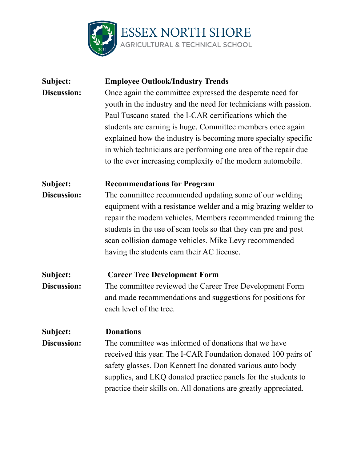

| Subject:           | <b>Employee Outlook/Industry Trends</b>                          |
|--------------------|------------------------------------------------------------------|
| <b>Discussion:</b> | Once again the committee expressed the desperate need for        |
|                    | youth in the industry and the need for technicians with passion. |
|                    | Paul Tuscano stated the I-CAR certifications which the           |
|                    | students are earning is huge. Committee members once again       |
|                    | explained how the industry is becoming more specialty specific   |
|                    | in which technicians are performing one area of the repair due   |
|                    | to the ever increasing complexity of the modern automobile.      |
| Subject:           | <b>Recommendations for Program</b>                               |
| Discussion:        | The committee recommended updating some of our welding           |
|                    | equipment with a resistance welder and a mig brazing welder to   |
|                    | repair the modern vehicles. Members recommended training the     |
|                    | students in the use of scan tools so that they can pre and post  |
|                    | scan collision damage vehicles. Mike Levy recommended            |
|                    | having the students earn their AC license.                       |
| Subject:           | <b>Career Tree Development Form</b>                              |
| Discussion:        | The committee reviewed the Career Tree Development Form          |
|                    | and made recommendations and suggestions for positions for       |
|                    | each level of the tree.                                          |
| Subject:           | <b>Donations</b>                                                 |
| Discussion:        | The committee was informed of donations that we have             |
|                    | received this year. The I-CAR Foundation donated 100 pairs of    |
|                    | safety glasses. Don Kennett Inc donated various auto body        |
|                    | supplies, and LKQ donated practice panels for the students to    |
|                    | practice their skills on. All donations are greatly appreciated. |
|                    |                                                                  |